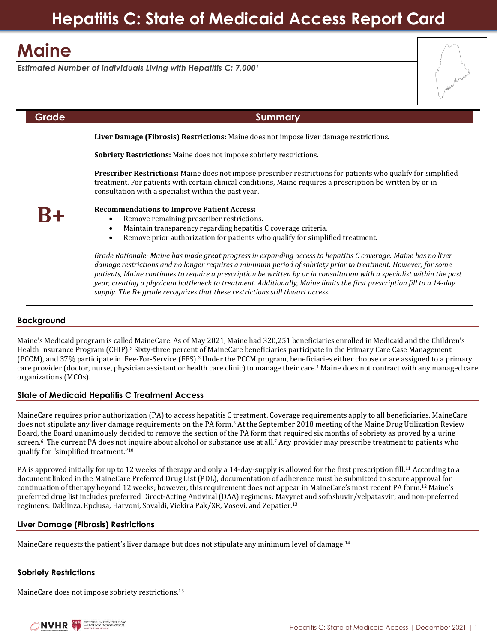# **Maine**

*Estimated Number of Individuals Living with Hepatitis C: 7,000<sup>1</sup>*

| Grade | Summary                                                                                                                                                                                                                                                                                                                                                                                                                                                                                                                                                             |
|-------|---------------------------------------------------------------------------------------------------------------------------------------------------------------------------------------------------------------------------------------------------------------------------------------------------------------------------------------------------------------------------------------------------------------------------------------------------------------------------------------------------------------------------------------------------------------------|
|       | Liver Damage (Fibrosis) Restrictions: Maine does not impose liver damage restrictions.                                                                                                                                                                                                                                                                                                                                                                                                                                                                              |
|       | <b>Sobriety Restrictions:</b> Maine does not impose sobriety restrictions.                                                                                                                                                                                                                                                                                                                                                                                                                                                                                          |
|       | Prescriber Restrictions: Maine does not impose prescriber restrictions for patients who qualify for simplified<br>treatment. For patients with certain clinical conditions, Maine requires a prescription be written by or in<br>consultation with a specialist within the past year.                                                                                                                                                                                                                                                                               |
|       | <b>Recommendations to Improve Patient Access:</b><br>Remove remaining prescriber restrictions.<br>Maintain transparency regarding hepatitis C coverage criteria.<br>$\bullet$<br>Remove prior authorization for patients who qualify for simplified treatment.                                                                                                                                                                                                                                                                                                      |
|       | Grade Rationale: Maine has made great progress in expanding access to hepatitis C coverage. Maine has no liver<br>damage restrictions and no longer requires a minimum period of sobriety prior to treatment. However, for some<br>patients, Maine continues to require a prescription be written by or in consultation with a specialist within the past<br>year, creating a physician bottleneck to treatment. Additionally, Maine limits the first prescription fill to a 14-day<br>supply. The B+ grade recognizes that these restrictions still thwart access. |

# **Background**

Maine's Medicaid program is called MaineCare. As of May 2021, Maine had 320,251 beneficiaries enrolled in Medicaid and the Children's Health Insurance Program (CHIP).<sup>2</sup> Sixty-three percent of MaineCare beneficiaries participate in the Primary Care Case Management (PCCM), and 37% participate in Fee-For-Service (FFS). <sup>3</sup> Under the PCCM program, beneficiaries either choose or are assigned to a primary care provider (doctor, nurse, physician assistant or health care clinic) to manage their care.<sup>4</sup> Maine does not contract with any managed care organizations (MCOs).

### **State of Medicaid Hepatitis C Treatment Access**

MaineCare requires prior authorization (PA) to access hepatitis C treatment. Coverage requirements apply to all beneficiaries. MaineCare does not stipulate any liver damage requirements on the PA form.<sup>5</sup> At the September 2018 meeting of the Maine Drug Utilization Review Board, the Board unanimously decided to remove the section of the PA form that required six months of sobriety as proved by a urine screen.<sup>6</sup> The current PA does not inquire about alcohol or substance use at all.<sup>7</sup> Any provider may prescribe treatment to patients who qualify for "simplified treatment." 10

PA is approved initially for up to 12 weeks of therapy and only a 14-day-supply is allowed for the first prescription fill.<sup>11</sup> According to a document linked in the MaineCare Preferred Drug List (PDL), documentation of adherence must be submitted to secure approval for continuation of therapy beyond 12 weeks; however, this requirement does not appear in MaineCare's most recent PA form.<sup>12</sup> Maine's preferred drug list includes preferred Direct-Acting Antiviral (DAA) regimens: Mavyret and sofosbuvir/velpatasvir; and non-preferred regimens: Daklinza, Epclusa, Harvoni, Sovaldi, Viekira Pak/XR, Vosevi, and Zepatier. 13

### **Liver Damage (Fibrosis) Restrictions**

MaineCare requests the patient's liver damage but does not stipulate any minimum level of damage.<sup>14</sup>

### **Sobriety Restrictions**

MaineCare does not impose sobriety restrictions. 15